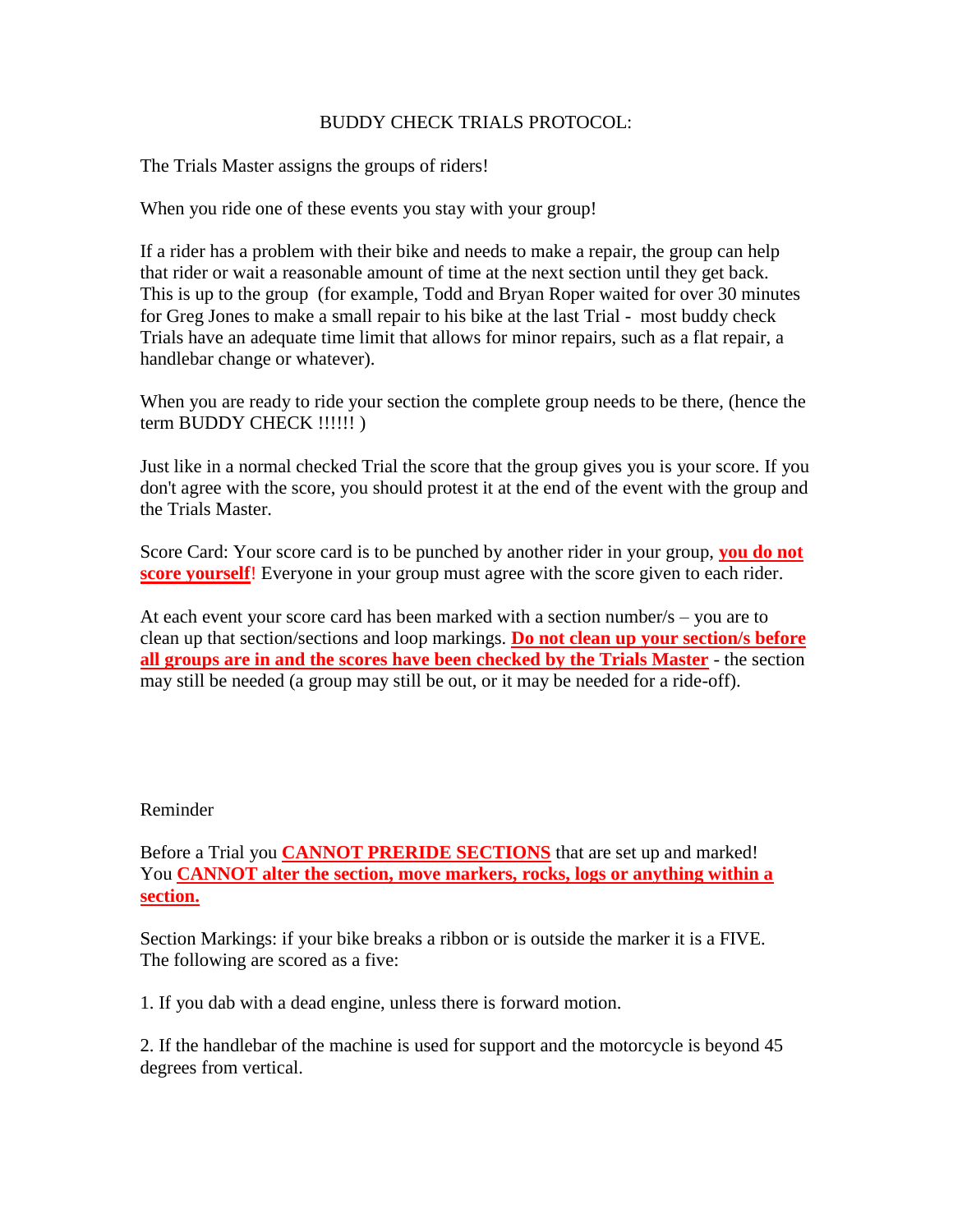## BUDDY CHECK TRIALS PROTOCOL:

The Trials Master assigns the groups of riders!

When you ride one of these events you stay with your group!

If a rider has a problem with their bike and needs to make a repair, the group can help that rider or wait a reasonable amount of time at the next section until they get back. This is up to the group (for example, Todd and Bryan Roper waited for over 30 minutes for Greg Jones to make a small repair to his bike at the last Trial - most buddy check Trials have an adequate time limit that allows for minor repairs, such as a flat repair, a handlebar change or whatever).

When you are ready to ride your section the complete group needs to be there, (hence the term BUDDY CHECK !!!!!! )

Just like in a normal checked Trial the score that the group gives you is your score. If you don't agree with the score, you should protest it at the end of the event with the group and the Trials Master.

Score Card: Your score card is to be punched by another rider in your group, **you do not score yourself!** Everyone in your group must agree with the score given to each rider.

At each event your score card has been marked with a section number/s – you are to clean up that section/sections and loop markings. **Do not clean up your section/s before all groups are in and the scores have been checked by the Trials Master** - the section may still be needed (a group may still be out, or it may be needed for a ride-off).

## Reminder

Before a Trial you **CANNOT PRERIDE SECTIONS** that are set up and marked! You **CANNOT alter the section, move markers, rocks, logs or anything within a section.**

Section Markings: if your bike breaks a ribbon or is outside the marker it is a FIVE. The following are scored as a five:

1. If you dab with a dead engine, unless there is forward motion.

2. If the handlebar of the machine is used for support and the motorcycle is beyond 45 degrees from vertical.